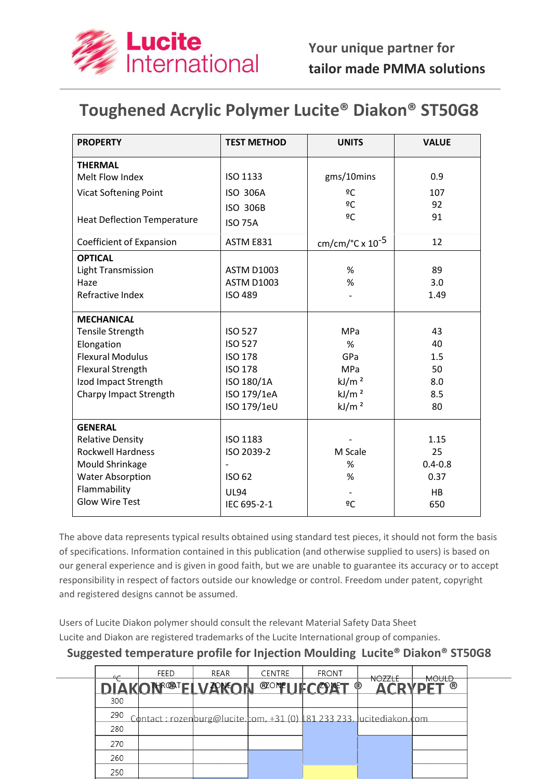

## Toughened Acrylic Polymer Lucite® Diakon® ST50G8

| <b>PROPERTY</b>                    | <b>TEST METHOD</b> | <b>UNITS</b>                          | <b>VALUE</b> |  |
|------------------------------------|--------------------|---------------------------------------|--------------|--|
| <b>THERMAL</b>                     |                    |                                       |              |  |
| Melt Flow Index                    | ISO 1133           | gms/10mins                            | 0.9          |  |
| <b>Vicat Softening Point</b>       | <b>ISO 306A</b>    | ºC                                    | 107          |  |
|                                    | <b>ISO 306B</b>    | ºC                                    | 92           |  |
| <b>Heat Deflection Temperature</b> | <b>ISO 75A</b>     | ºC                                    | 91           |  |
| Coefficient of Expansion           | ASTM E831          | cm/cm/ $\degree$ C x 10 <sup>-5</sup> | 12           |  |
| <b>OPTICAL</b>                     |                    |                                       |              |  |
| <b>Light Transmission</b>          | <b>ASTM D1003</b>  | %                                     | 89           |  |
| Haze                               | <b>ASTM D1003</b>  | %                                     | 3.0          |  |
| Refractive Index                   | <b>ISO 489</b>     |                                       | 1.49         |  |
| <b>MECHANICAL</b>                  |                    |                                       |              |  |
| Tensile Strength                   | <b>ISO 527</b>     | <b>MPa</b>                            | 43           |  |
| Elongation                         | <b>ISO 527</b>     | %                                     | 40           |  |
| <b>Flexural Modulus</b>            | <b>ISO 178</b>     | GPa                                   | 1.5          |  |
| <b>Flexural Strength</b>           | <b>ISO 178</b>     | <b>MPa</b>                            | 50           |  |
| Izod Impact Strength               | ISO 180/1A         | kJ/m <sup>2</sup>                     | 8.0          |  |
| Charpy Impact Strength             | ISO 179/1eA        | kJ/m <sup>2</sup>                     | 8.5          |  |
|                                    | ISO 179/1eU        | kJ/m <sup>2</sup>                     | 80           |  |
| <b>GENERAL</b>                     |                    |                                       |              |  |
| <b>Relative Density</b>            | ISO 1183           |                                       | 1.15         |  |
| <b>Rockwell Hardness</b>           | ISO 2039-2         | M Scale                               | 25           |  |
| Mould Shrinkage                    |                    | %                                     | $0.4 - 0.8$  |  |
| <b>Water Absorption</b>            | ISO 62             | %                                     | 0.37         |  |
| Flammability                       | <b>UL94</b>        |                                       | HB           |  |
| <b>Glow Wire Test</b>              | IEC 695-2-1        | 2C                                    | 650          |  |
|                                    |                    |                                       |              |  |

The above data represents typical results obtained using standard test pieces, it should not form the basis of specifications. Information contained in this publication (and otherwise supplied to users) is based on our general experience and is given in good faith, but we are unable to guarantee its accuracy or to accept responsibility in respect of factors outside our knowledge or control. Freedom under patent, copyright and registered designs cannot be assumed.

Users of Lucite Diakon polymer should consult the relevant Material Safety Data Sheet Lucite and Diakon are registered trademarks of the Lucite International group of companies.

Suggested temperature profile for Injection Moulding Lucite® Diakon® ST50G8

|     | <b>FEED</b>                                                          | REAR | <b>CENTRE</b> | <b>FRONT</b>           | <del>NO77LF</del> | <del>MOULD</del> |  |
|-----|----------------------------------------------------------------------|------|---------------|------------------------|-------------------|------------------|--|
|     | <b>DIAKONF®TELVANEONI</b>                                            |      |               | <b>EXOPEL JECCOMET</b> | O                 | (R)              |  |
| 300 |                                                                      |      |               |                        |                   |                  |  |
| 290 | Contact: rozenburg@lucite.com, +31 (0) 181 233 233. lucitediakon.com |      |               |                        |                   |                  |  |
| 280 |                                                                      |      |               |                        |                   |                  |  |
| 270 |                                                                      |      |               |                        |                   |                  |  |
| 260 |                                                                      |      |               |                        |                   |                  |  |
| 250 |                                                                      |      |               |                        |                   |                  |  |